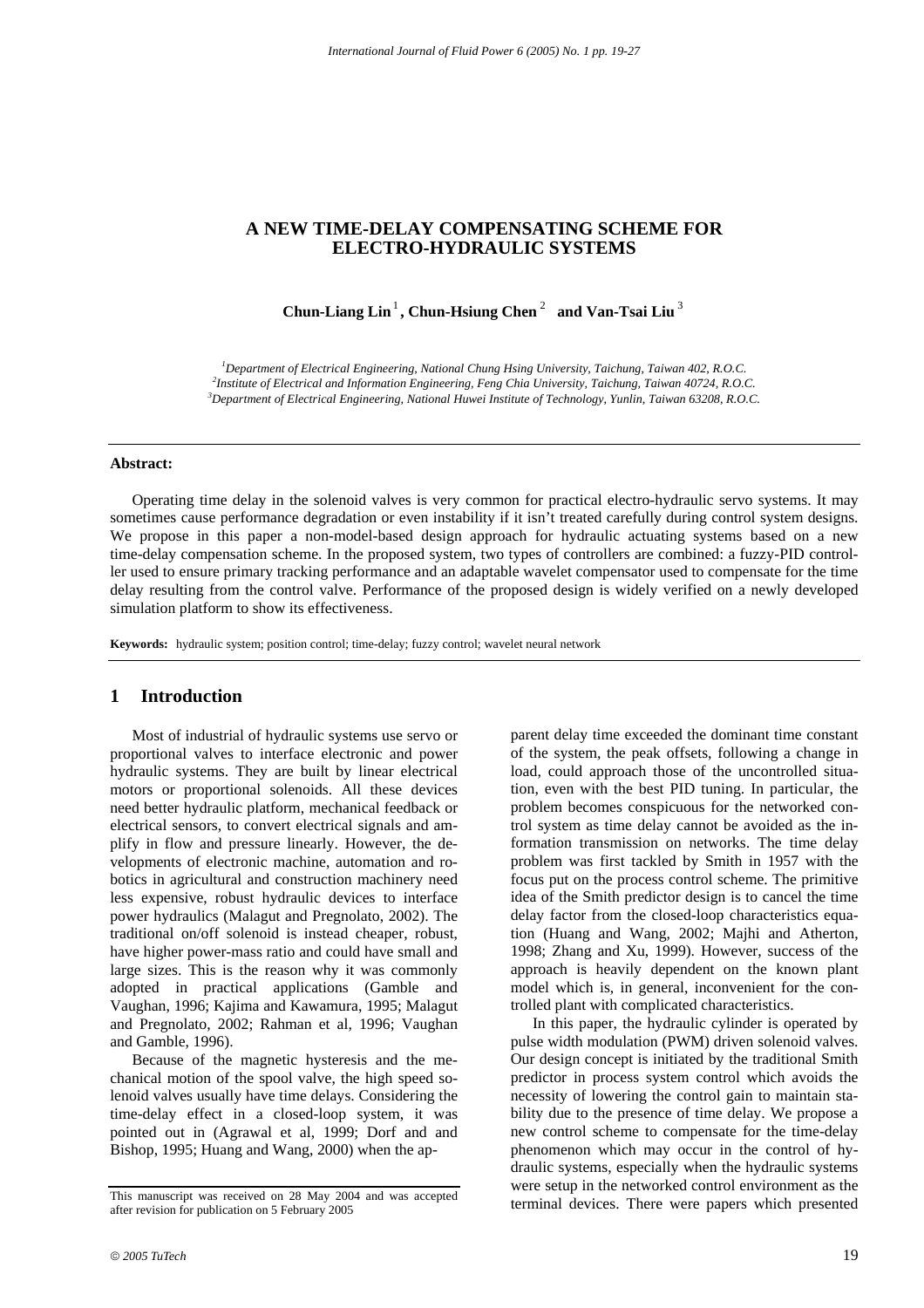### **A NEW TIME-DELAY COMPENSATING SCHEME FOR ELECTRO-HYDRAULIC SYSTEMS**

**Chun-Liang Lin**<sup>1</sup> **, Chun-Hsiung Chen** <sup>2</sup> **and Van-Tsai Liu** <sup>3</sup>

<sup>1</sup> Department of Electrical Engineering, National Chung Hsing University, Taichung, Taiwan 402, R.O.C. <sup>2</sup><br><sup>2</sup>Institute of Electrical and Information Engineering, Eano Chia University, Taichung, Taiwan 40724, R.O.C. *Institute of Electrical and Information Engineering, Feng Chia University, Taichung, Taiwan 40724, R.O.C. 3 Department of Electrical Engineering, National Huwei Institute of Technology, Yunlin, Taiwan 63208, R.O.C.* 

#### **Abstract:**

Operating time delay in the solenoid valves is very common for practical electro-hydraulic servo systems. It may sometimes cause performance degradation or even instability if it isn't treated carefully during control system designs. We propose in this paper a non-model-based design approach for hydraulic actuating systems based on a new time-delay compensation scheme. In the proposed system, two types of controllers are combined: a fuzzy-PID controller used to ensure primary tracking performance and an adaptable wavelet compensator used to compensate for the time delay resulting from the control valve. Performance of the proposed design is widely verified on a newly developed simulation platform to show its effectiveness.

**Keywords:** hydraulic system; position control; time-delay; fuzzy control; wavelet neural network

## **1 Introduction**

Most of industrial of hydraulic systems use servo or proportional valves to interface electronic and power hydraulic systems. They are built by linear electrical motors or proportional solenoids. All these devices need better hydraulic platform, mechanical feedback or electrical sensors, to convert electrical signals and amplify in flow and pressure linearly. However, the developments of electronic machine, automation and robotics in agricultural and construction machinery need less expensive, robust hydraulic devices to interface power hydraulics (Malagut and Pregnolato, 2002). The traditional on/off solenoid is instead cheaper, robust, have higher power-mass ratio and could have small and large sizes. This is the reason why it was commonly adopted in practical applications (Gamble and Vaughan, 1996; Kajima and Kawamura, 1995; Malagut and Pregnolato, 2002; Rahman et al, 1996; Vaughan and Gamble, 1996).

Because of the magnetic hysteresis and the mechanical motion of the spool valve, the high speed solenoid valves usually have time delays. Considering the time-delay effect in a closed-loop system, it was pointed out in (Agrawal et al, 1999; Dorf and and Bishop, 1995; Huang and Wang, 2000) when the apparent delay time exceeded the dominant time constant of the system, the peak offsets, following a change in load, could approach those of the uncontrolled situation, even with the best PID tuning. In particular, the problem becomes conspicuous for the networked control system as time delay cannot be avoided as the information transmission on networks. The time delay problem was first tackled by Smith in 1957 with the focus put on the process control scheme. The primitive idea of the Smith predictor design is to cancel the time delay factor from the closed-loop characteristics equation (Huang and Wang, 2002; Majhi and Atherton, 1998; Zhang and Xu, 1999). However, success of the approach is heavily dependent on the known plant model which is, in general, inconvenient for the controlled plant with complicated characteristics.

In this paper, the hydraulic cylinder is operated by pulse width modulation (PWM) driven solenoid valves. Our design concept is initiated by the traditional Smith predictor in process system control which avoids the necessity of lowering the control gain to maintain stability due to the presence of time delay. We propose a new control scheme to compensate for the time-delay phenomenon which may occur in the control of hydraulic systems, especially when the hydraulic systems were setup in the networked control environment as the terminal devices. There were papers which presented

This manuscript was received on 28 May 2004 and was accepted after revision for publication on 5 February 2005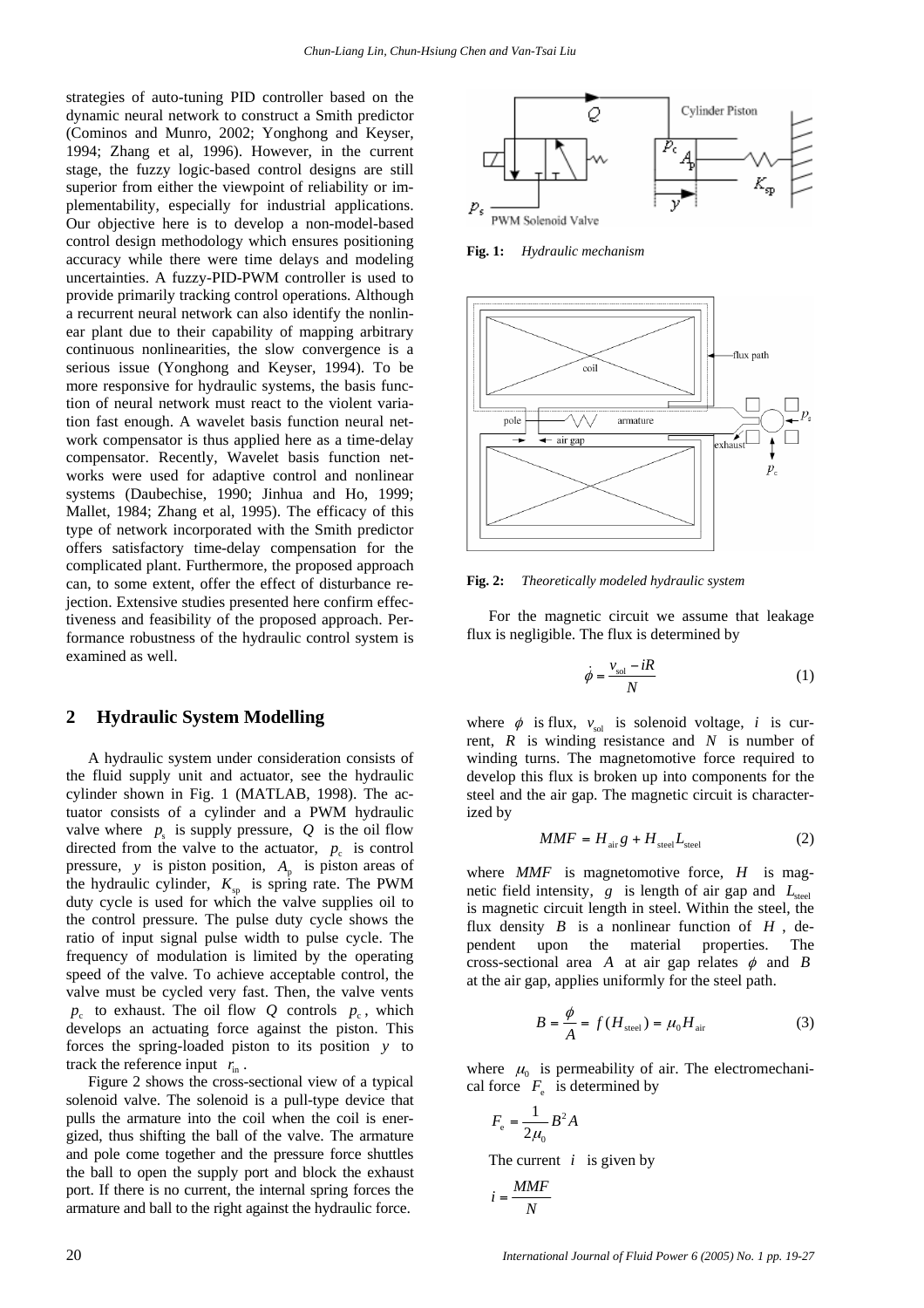strategies of auto-tuning PID controller based on the dynamic neural network to construct a Smith predictor (Cominos and Munro, 2002; Yonghong and Keyser, 1994; Zhang et al, 1996). However, in the current stage, the fuzzy logic-based control designs are still superior from either the viewpoint of reliability or implementability, especially for industrial applications. Our objective here is to develop a non-model-based control design methodology which ensures positioning accuracy while there were time delays and modeling uncertainties. A fuzzy-PID-PWM controller is used to provide primarily tracking control operations. Although a recurrent neural network can also identify the nonlinear plant due to their capability of mapping arbitrary continuous nonlinearities, the slow convergence is a serious issue (Yonghong and Keyser, 1994). To be more responsive for hydraulic systems, the basis function of neural network must react to the violent variation fast enough. A wavelet basis function neural network compensator is thus applied here as a time-delay compensator. Recently, Wavelet basis function networks were used for adaptive control and nonlinear systems (Daubechise, 1990; Jinhua and Ho, 1999; Mallet, 1984; Zhang et al, 1995). The efficacy of this type of network incorporated with the Smith predictor offers satisfactory time-delay compensation for the complicated plant. Furthermore, the proposed approach can, to some extent, offer the effect of disturbance rejection. Extensive studies presented here confirm effectiveness and feasibility of the proposed approach. Performance robustness of the hydraulic control system is examined as well.

#### **2 Hydraulic System Modelling**

A hydraulic system under consideration consists of the fluid supply unit and actuator, see the hydraulic cylinder shown in Fig. 1 (MATLAB, 1998). The actuator consists of a cylinder and a PWM hydraulic valve where  $p_s$  is supply pressure,  $Q$  is the oil flow directed from the valve to the actuator,  $p_c$  is control pressure, *y* is piston position,  $A_p$  is piston areas of the hydraulic cylinder,  $K_{sp}$  is spring rate. The PWM duty cycle is used for which the valve supplies oil to the control pressure. The pulse duty cycle shows the ratio of input signal pulse width to pulse cycle. The frequency of modulation is limited by the operating speed of the valve. To achieve acceptable control, the valve must be cycled very fast. Then, the valve vents  $p_c$  to exhaust. The oil flow *Q* controls  $p_c$ , which develops an actuating force against the piston. This forces the spring-loaded piston to its position *y* to track the reference input  $r_{\text{in}}$ .

Figure 2 shows the cross-sectional view of a typical solenoid valve. The solenoid is a pull-type device that pulls the armature into the coil when the coil is energized, thus shifting the ball of the valve. The armature and pole come together and the pressure force shuttles the ball to open the supply port and block the exhaust port. If there is no current, the internal spring forces the armature and ball to the right against the hydraulic force.



**Fig. 1:** *Hydraulic mechanism* 



**Fig. 2:** *Theoretically modeled hydraulic system* 

For the magnetic circuit we assume that leakage flux is negligible. The flux is determined by

$$
\dot{\phi} = \frac{v_{\text{sol}} - iR}{N} \tag{1}
$$

where  $\phi$  is flux,  $v_{\text{sol}}$  is solenoid voltage, *i* is current, *R* is winding resistance and *N* is number of winding turns. The magnetomotive force required to develop this flux is broken up into components for the steel and the air gap. The magnetic circuit is characterized by

$$
MMF = H_{\text{air}}g + H_{\text{steel}}L_{\text{steel}}
$$
 (2)

where *MMF* is magnetomotive force, *H* is magnetic field intensity,  $g$  is length of air gap and  $L_{\text{steel}}$ is magnetic circuit length in steel. Within the steel, the flux density  $B$  is a nonlinear function of  $H$ , dependent upon the material properties. The cross-sectional area *A* at air gap relates  $\phi$  and *B* at the air gap, applies uniformly for the steel path.

$$
B = \frac{\phi}{A} = f(H_{\text{steel}}) = \mu_0 H_{\text{air}} \tag{3}
$$

where  $\mu_0$  is permeability of air. The electromechanical force  $F_e$  is determined by

$$
F_{\rm e} = \frac{1}{2\mu_0} B^2 A
$$

The current  $i$  is given by

$$
i=\frac{MMF}{N}
$$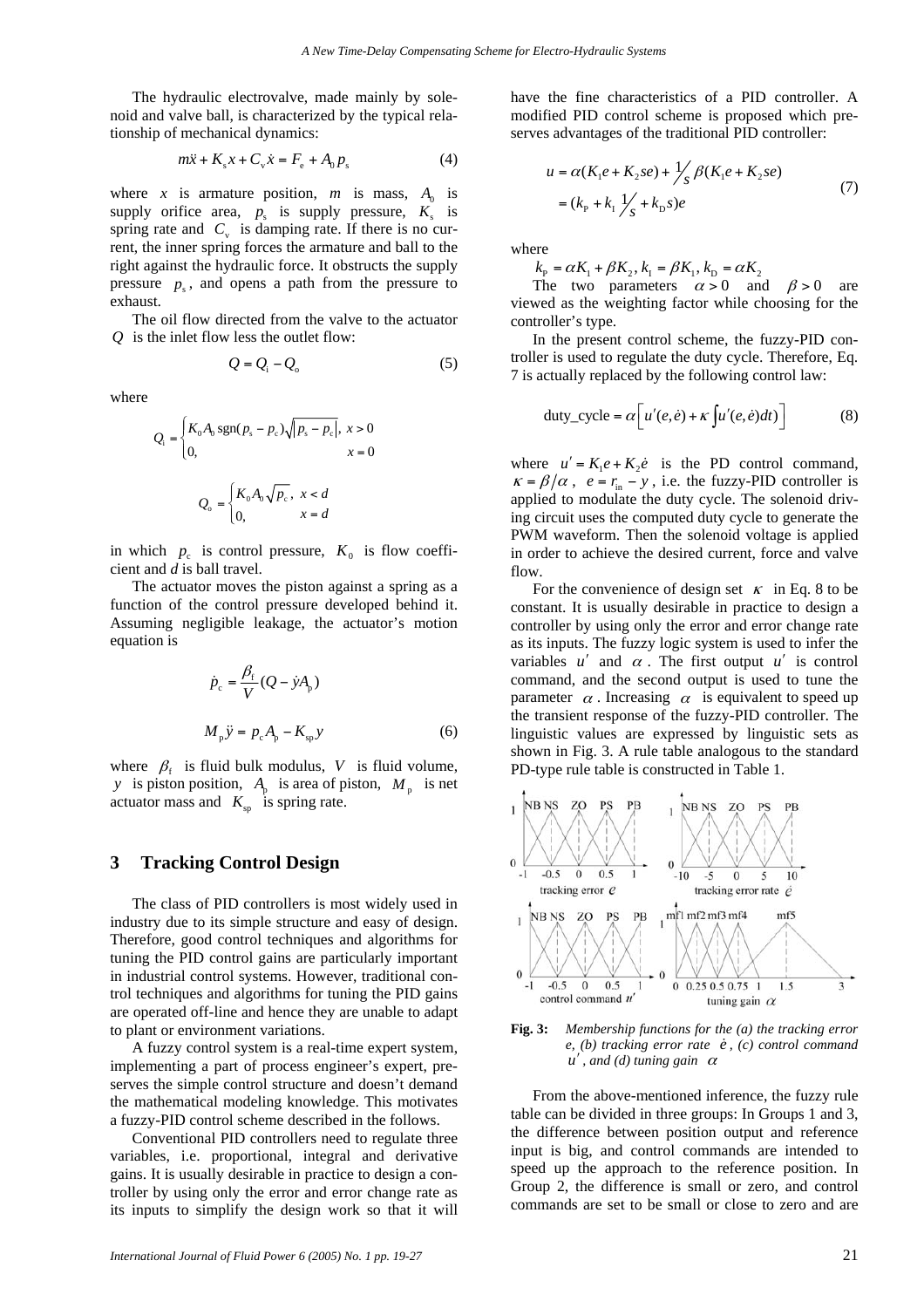The hydraulic electrovalve, made mainly by solenoid and valve ball, is characterized by the typical relationship of mechanical dynamics:

$$
m\ddot{x} + K_{s}x + C_{v}\dot{x} = F_{e} + A_{0}p_{s}
$$
 (4)

where *x* is armature position, *m* is mass,  $A_0$  is supply orifice area,  $p_s$  is supply pressure,  $K_s$  is spring rate and  $C_v$  is damping rate. If there is no current, the inner spring forces the armature and ball to the right against the hydraulic force. It obstructs the supply pressure  $p_s$ , and opens a path from the pressure to exhaust.

The oil flow directed from the valve to the actuator *Q* is the inlet flow less the outlet flow:

$$
Q = Q_{\rm i} - Q_{\rm o} \tag{5}
$$

where

$$
Q_{\rm i} = \begin{cases} K_0 A_0 \operatorname{sgn}(p_{\rm s} - p_{\rm c}) \sqrt{|p_{\rm s} - p_{\rm c}|}, \ x > 0 \\ 0, \ x = 0 \end{cases}
$$

$$
Q_{\rm o} = \begin{cases} K_0 A_0 \sqrt{p_{\rm c}}, \ x < d \\ 0, \ x = d \end{cases}
$$

in which  $p_c$  is control pressure,  $K_0$  is flow coefficient and *d* is ball travel.

The actuator moves the piston against a spring as a function of the control pressure developed behind it. Assuming negligible leakage, the actuator's motion equation is

$$
\dot{p}_{c} = \frac{\beta_{f}}{V} (Q - \dot{y}A_{p})
$$
\n
$$
M_{p} \ddot{y} = p_{c} A_{p} - K_{sp} y
$$
\n(6)

where  $\beta_f$  is fluid bulk modulus, *V* is fluid volume, *y* is piston position,  $A_p$  is area of piston,  $M_p$  is net actuator mass and  $K_{\rm sp}$  is spring rate.

#### **3 Tracking Control Design**

The class of PID controllers is most widely used in industry due to its simple structure and easy of design. Therefore, good control techniques and algorithms for tuning the PID control gains are particularly important in industrial control systems. However, traditional control techniques and algorithms for tuning the PID gains are operated off-line and hence they are unable to adapt to plant or environment variations.

A fuzzy control system is a real-time expert system, implementing a part of process engineer's expert, preserves the simple control structure and doesn't demand the mathematical modeling knowledge. This motivates a fuzzy-PID control scheme described in the follows.

Conventional PID controllers need to regulate three variables, i.e. proportional, integral and derivative gains. It is usually desirable in practice to design a controller by using only the error and error change rate as its inputs to simplify the design work so that it will have the fine characteristics of a PID controller. A modified PID control scheme is proposed which preserves advantages of the traditional PID controller:

$$
u = \alpha (K_1 e + K_2 s e) + \frac{1}{s} \beta (K_1 e + K_2 s e)
$$
  
=  $(k_P + k_I \frac{1}{s} + k_D s)e$  (7)

where

 $k_{\rm p} = \alpha K_1 + \beta K_2, k_{\rm I} = \beta K_1, k_{\rm p} = \alpha K_2$ 

The two parameters  $\alpha > 0$  and  $\beta > 0$  are viewed as the weighting factor while choosing for the controller's type.

In the present control scheme, the fuzzy-PID controller is used to regulate the duty cycle. Therefore, Eq. 7 is actually replaced by the following control law:

duty\_cycle = 
$$
\alpha \left[ u'(e, \dot{e}) + \kappa \int u'(e, \dot{e}) dt \right]
$$
 (8)

where  $u' = K_1 e + K_2 \dot{e}$  is the PD control command,  $\kappa = \beta/\alpha$ ,  $e = r_{in} - y$ , i.e. the fuzzy-PID controller is applied to modulate the duty cycle. The solenoid driving circuit uses the computed duty cycle to generate the PWM waveform. Then the solenoid voltage is applied in order to achieve the desired current, force and valve flow.

For the convenience of design set  $\kappa$  in Eq. 8 to be constant. It is usually desirable in practice to design a controller by using only the error and error change rate as its inputs. The fuzzy logic system is used to infer the variables  $u'$  and  $\alpha$ . The first output  $u'$  is control command, and the second output is used to tune the parameter  $\alpha$ . Increasing  $\alpha$  is equivalent to speed up the transient response of the fuzzy-PID controller. The linguistic values are expressed by linguistic sets as shown in Fig. 3. A rule table analogous to the standard PD-type rule table is constructed in Table 1.



**Fig. 3:** *Membership functions for the (a) the tracking error e*, (b) tracking error rate  $\dot{e}$ , (c) control command  $u'$ , and (d) tuning gain  $\alpha$ 

From the above-mentioned inference, the fuzzy rule table can be divided in three groups: In Groups 1 and 3, the difference between position output and reference input is big, and control commands are intended to speed up the approach to the reference position. In Group 2, the difference is small or zero, and control commands are set to be small or close to zero and are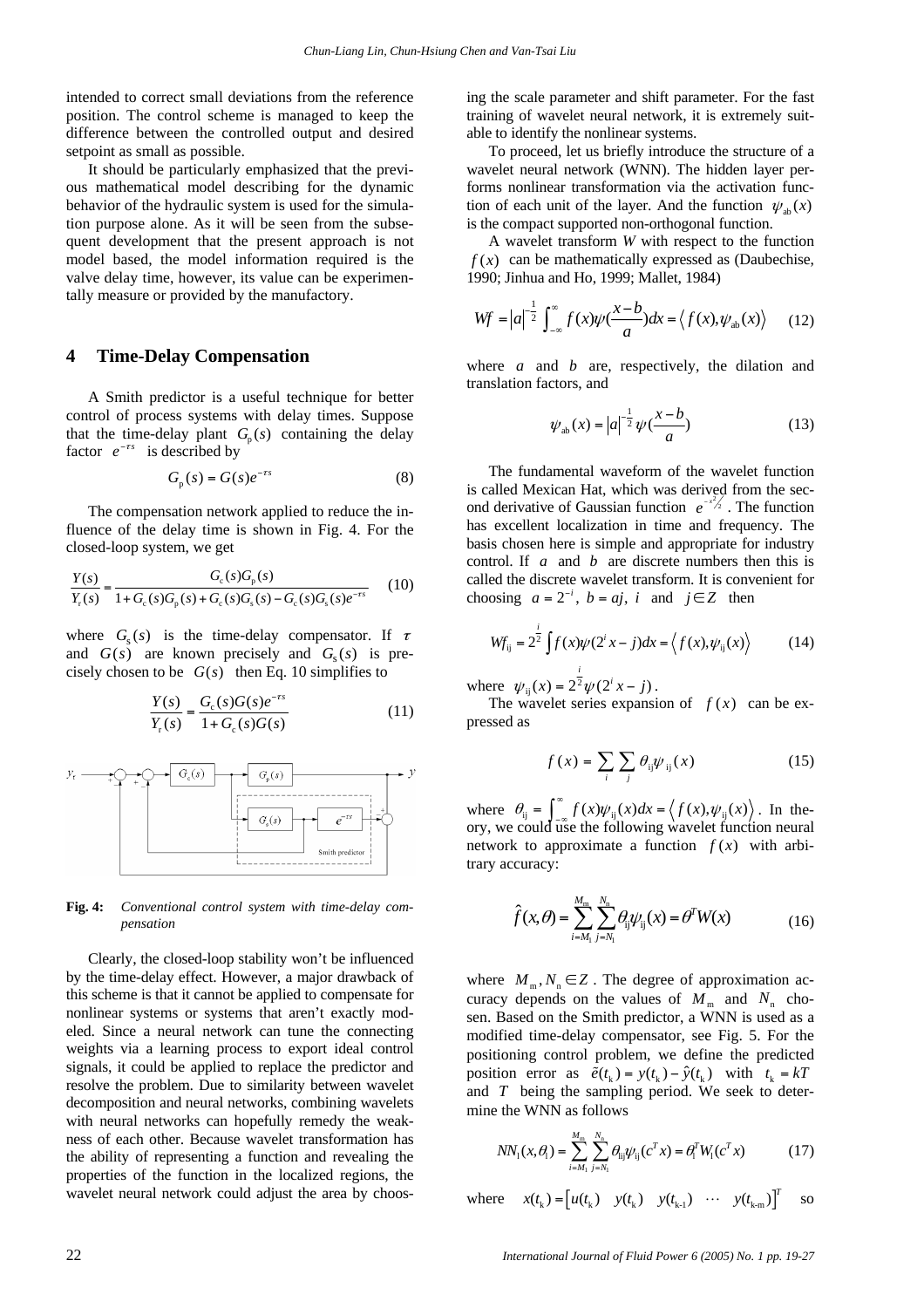intended to correct small deviations from the reference position. The control scheme is managed to keep the difference between the controlled output and desired setpoint as small as possible.

It should be particularly emphasized that the previous mathematical model describing for the dynamic behavior of the hydraulic system is used for the simulation purpose alone. As it will be seen from the subsequent development that the present approach is not model based, the model information required is the valve delay time, however, its value can be experimentally measure or provided by the manufactory.

#### **4 Time-Delay Compensation**

A Smith predictor is a useful technique for better control of process systems with delay times. Suppose that the time-delay plant  $G_n(s)$  containing the delay factor  $e^{-\tau s}$  is described by

$$
G_{\mathsf{p}}(s) = G(s)e^{-\tau s} \tag{8}
$$

The compensation network applied to reduce the influence of the delay time is shown in Fig. 4. For the closed-loop system, we get

$$
\frac{Y(s)}{Y_r(s)} = \frac{G_c(s)G_p(s)}{1 + G_c(s)G_p(s) + G_c(s)G_s(s) - G_c(s)G_s(s)e^{-rs}}
$$
(10)

where  $G<sub>s</sub>(s)$  is the time-delay compensator. If  $\tau$ and  $G(s)$  are known precisely and  $G<sub>s</sub>(s)$  is precisely chosen to be  $G(s)$  then Eq. 10 simplifies to

$$
\frac{Y(s)}{Y_r(s)} = \frac{G_c(s)G(s)e^{-rs}}{1+G_c(s)G(s)}
$$
(11)



**Fig. 4:** *Conventional control system with time-delay compensation* 

Clearly, the closed-loop stability won't be influenced by the time-delay effect. However, a major drawback of this scheme is that it cannot be applied to compensate for nonlinear systems or systems that aren't exactly modeled. Since a neural network can tune the connecting weights via a learning process to export ideal control signals, it could be applied to replace the predictor and resolve the problem. Due to similarity between wavelet decomposition and neural networks, combining wavelets with neural networks can hopefully remedy the weakness of each other. Because wavelet transformation has the ability of representing a function and revealing the properties of the function in the localized regions, the wavelet neural network could adjust the area by choosing the scale parameter and shift parameter. For the fast training of wavelet neural network, it is extremely suitable to identify the nonlinear systems.

To proceed, let us briefly introduce the structure of a wavelet neural network (WNN). The hidden layer performs nonlinear transformation via the activation function of each unit of the layer. And the function  $\psi_{ab}(x)$ is the compact supported non-orthogonal function.

A wavelet transform *W* with respect to the function  $f(x)$  can be mathematically expressed as (Daubechise, 1990; Jinhua and Ho, 1999; Mallet, 1984)

$$
Wf = |a|^{-\frac{1}{2}} \int_{-\infty}^{\infty} f(x)\psi(\frac{x-b}{a})dx = \langle f(x), \psi_{ab}(x) \rangle \tag{12}
$$

where *a* and *b* are, respectively, the dilation and translation factors, and

$$
\psi_{ab}(x) = |a|^{-\frac{1}{2}} \psi(\frac{x-b}{a})
$$
\n(13)

The fundamental waveform of the wavelet function is called Mexican Hat, which was derived from the second derivative of Gaussian function  $e^{-x^2/2}$ . The function has excellent localization in time and frequency. The basis chosen here is simple and appropriate for industry control. If *a* and *b* are discrete numbers then this is called the discrete wavelet transform. It is convenient for choosing  $a = 2^{-i}$ ,  $b = aj$ ,  $i$  and  $j \in \mathbb{Z}$  then

$$
Wf_{ij} = 2^{\frac{i}{2}} \int f(x)\psi(2^ix - j)dx = \langle f(x), \psi_{ij}(x) \rangle \tag{14}
$$

where  $\psi_{ij}(x) = 2^2 \psi(2^i x - j)$  $\psi_{ii}(x) = 2^{\frac{i}{2}} \psi(2^i x - j)$ .

The wavelet series expansion of  $f(x)$  can be expressed as

$$
f(x) = \sum_{i} \sum_{j} \theta_{ij} \psi_{ij}(x) \tag{15}
$$

where  $\theta_{ij} = \int_{-\infty}^{\infty} f(x) \psi_{ij}(x) dx = \langle f(x), \psi_{ij}(x) \rangle$ . In the-<br>ory, we could use the following wavelet function neural network to approximate a function  $f(x)$  with arbitrary accuracy:

$$
\hat{f}(x,\theta) = \sum_{i=M_1}^{M_m} \sum_{j=N_1}^{N_n} \theta_j \psi_{ij}(x) = \theta^T W(x)
$$
\n(16)

where  $M_m$ ,  $N_n \in \mathbb{Z}$ . The degree of approximation accuracy depends on the values of  $M_m$  and  $N_n$  chosen. Based on the Smith predictor, a WNN is used as a modified time-delay compensator, see Fig. 5. For the positioning control problem, we define the predicted position error as  $\tilde{e}(t_k) = y(t_k) - \hat{y}(t_k)$  with  $t_k = kT$ and *T* being the sampling period. We seek to determine the WNN as follows

$$
NN_1(x, \theta_1) = \sum_{i=M_1}^{M_m} \sum_{j=N_1}^{N_n} \theta_{ij} \psi_{ij} (c^T x) = \theta_1^T W_1 (c^T x)
$$
 (17)

where  $x(t_k) = \begin{bmatrix} u(t_k) & y(t_k) & y(t_{k-1}) & \cdots & y(t_{k-m}) \end{bmatrix}^T$  so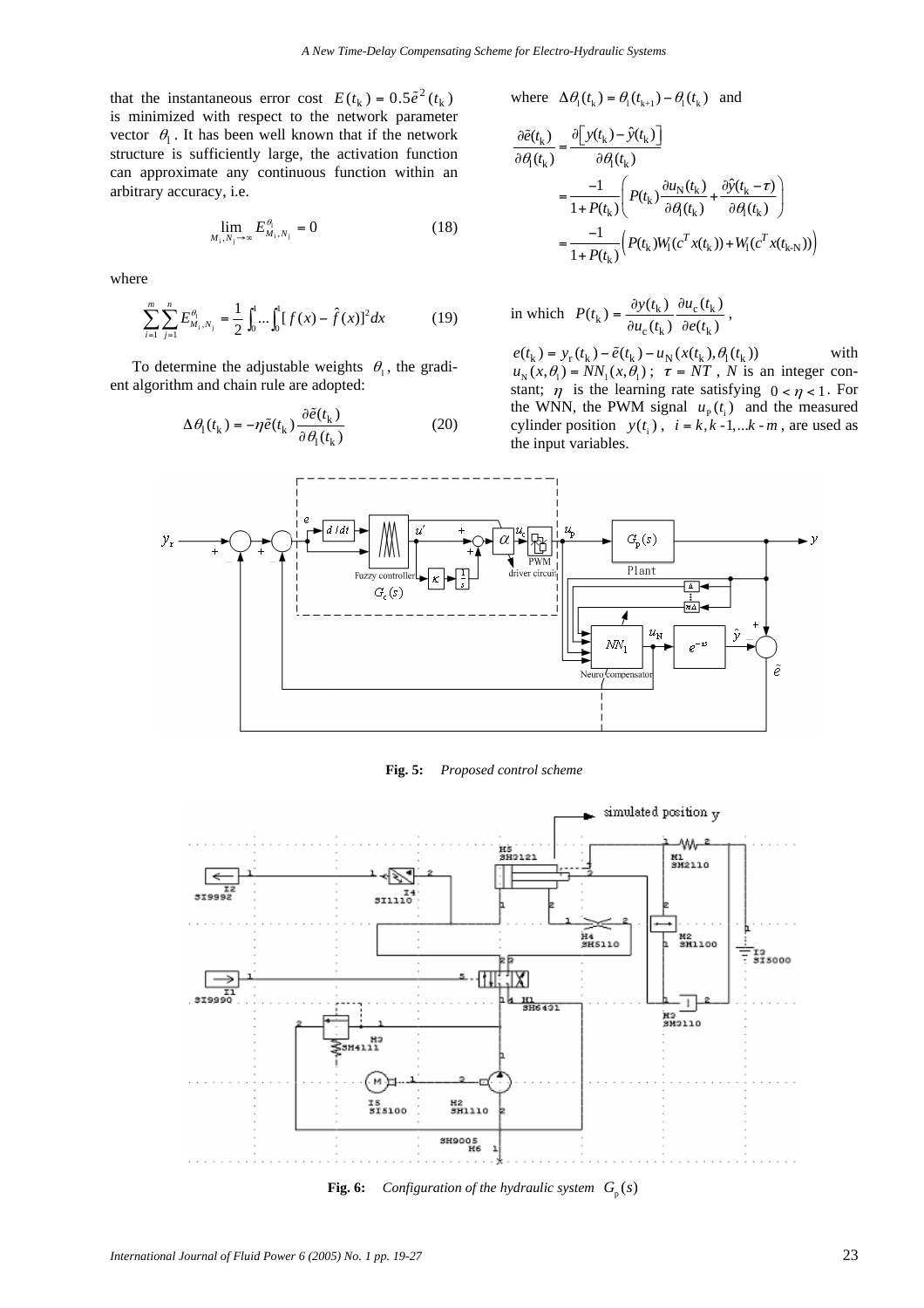that the instantaneous error cost  $E(t_k) = 0.5\tilde{e}^2(t_k)$ is minimized with respect to the network parameter vector  $\theta_1$ . It has been well known that if the network structure is sufficiently large, the activation function can approximate any continuous function within an arbitrary accuracy, i.e.

$$
\lim_{M_i, N_j \to \infty} E_{M_i, N_j}^{\theta_i} = 0 \tag{18}
$$

where

$$
\sum_{i=1}^{m} \sum_{j=1}^{n} E_{M_i, N_j}^{\theta_i} = \frac{1}{2} \int_0^1 \dots \int_0^1 [f(x) - \hat{f}(x)]^2 dx \tag{19}
$$

To determine the adjustable weights  $\theta_1$ , the gradient algorithm and chain rule are adopted:

$$
\Delta \theta_{\rm l}(t_{\rm k}) = -\eta \tilde{e}(t_{\rm k}) \frac{\partial \tilde{e}(t_{\rm k})}{\partial \theta_{\rm l}(t_{\rm k})} \eqno(20)
$$

where  $\Delta \theta_1(t_k) = \theta_1(t_{k+1}) - \theta_1(t_k)$  and

$$
\frac{\partial \tilde{e}(t_k)}{\partial \theta_l(t_k)} = \frac{\partial \left[ y(t_k) - \hat{y}(t_k) \right]}{\partial \theta_l(t_k)} \n= \frac{-1}{1 + P(t_k)} \left( P(t_k) \frac{\partial u_N(t_k)}{\partial \theta_l(t_k)} + \frac{\partial \hat{y}(t_k - \tau)}{\partial \theta_l(t_k)} \right) \n= \frac{-1}{1 + P(t_k)} \left( P(t_k) W_1(c^T x(t_k)) + W_1(c^T x(t_{k-N})) \right)
$$

in which 
$$
P(t_k) = \frac{\partial y(t_k)}{\partial u_c(t_k)} \frac{\partial u_c(t_k)}{\partial e(t_k)},
$$

 $e(t_{k}) = y_{r}(t_{k}) - \tilde{e}(t_{k}) - u_{N}(x(t_{k}), \theta_{1}(t_{k}))$  with  $u_N(x, \theta_1) = NN_1(x, \theta_1)$ ;  $\tau = NT$ , *N* is an integer constant;  $\eta$  is the learning rate satisfying  $0 < \eta < 1$ . For the WNN, the PWM signal  $u_p(t_i)$  and the measured cylinder position  $y(t_i)$ ,  $i = k, k-1,...k-m$ , are used as the input variables.



**Fig. 5:** *Proposed control scheme* 



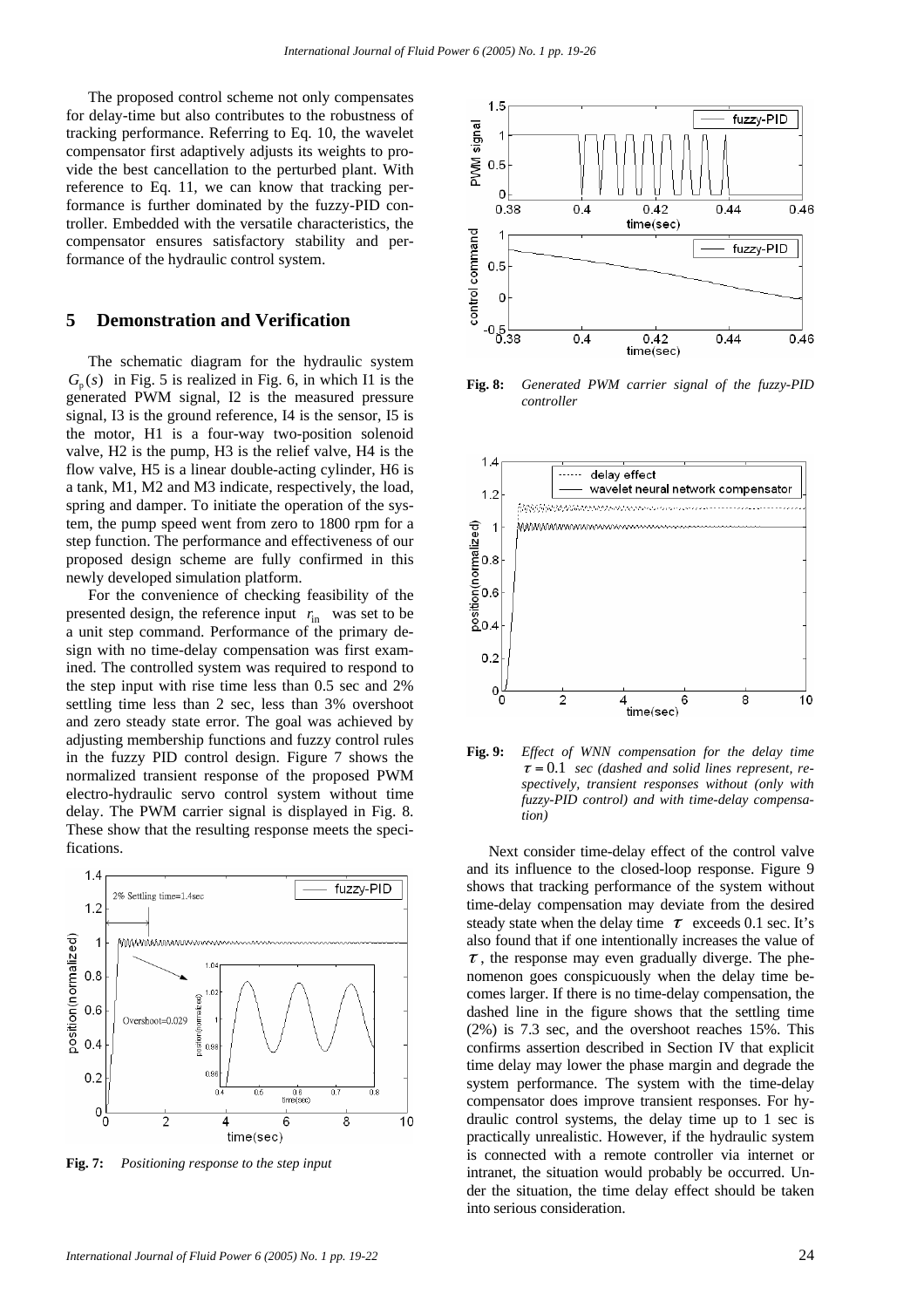The proposed control scheme not only compensates for delay-time but also contributes to the robustness of tracking performance. Referring to Eq. 10, the wavelet compensator first adaptively adjusts its weights to provide the best cancellation to the perturbed plant. With reference to Eq. 11, we can know that tracking performance is further dominated by the fuzzy-PID controller. Embedded with the versatile characteristics, the compensator ensures satisfactory stability and performance of the hydraulic control system.

#### **5 Demonstration and Verification**

The schematic diagram for the hydraulic system  $G<sub>n</sub>(s)$  in Fig. 5 is realized in Fig. 6, in which I1 is the generated PWM signal, I2 is the measured pressure signal, I3 is the ground reference, I4 is the sensor, I5 is the motor, H1 is a four-way two-position solenoid valve, H2 is the pump, H3 is the relief valve, H4 is the flow valve, H5 is a linear double-acting cylinder, H6 is a tank, M1, M2 and M3 indicate, respectively, the load, spring and damper. To initiate the operation of the system, the pump speed went from zero to 1800 rpm for a step function. The performance and effectiveness of our proposed design scheme are fully confirmed in this newly developed simulation platform.

For the convenience of checking feasibility of the presented design, the reference input  $r_{\text{in}}$  was set to be a unit step command. Performance of the primary design with no time-delay compensation was first examined. The controlled system was required to respond to the step input with rise time less than 0.5 sec and 2% settling time less than 2 sec, less than 3% overshoot and zero steady state error. The goal was achieved by adjusting membership functions and fuzzy control rules in the fuzzy PID control design. Figure 7 shows the normalized transient response of the proposed PWM electro-hydraulic servo control system without time delay. The PWM carrier signal is displayed in Fig. 8. These show that the resulting response meets the specifications.



**Fig. 7:** *Positioning response to the step input* 



**Fig. 8:** *Generated PWM carrier signal of the fuzzy-PID controller* 



**Fig. 9:** *Effect of WNN compensation for the delay time*   $\tau = 0.1$  *sec (dashed and solid lines represent, respectively, transient responses without (only with fuzzy-PID control) and with time-delay compensation)* 

Next consider time-delay effect of the control valve and its influence to the closed-loop response. Figure 9 shows that tracking performance of the system without time-delay compensation may deviate from the desired steady state when the delay time  $\tau$  exceeds 0.1 sec. It's also found that if one intentionally increases the value of  $\tau$ , the response may even gradually diverge. The phenomenon goes conspicuously when the delay time becomes larger. If there is no time-delay compensation, the dashed line in the figure shows that the settling time (2%) is 7.3 sec, and the overshoot reaches 15%. This confirms assertion described in Section IV that explicit time delay may lower the phase margin and degrade the system performance. The system with the time-delay compensator does improve transient responses. For hydraulic control systems, the delay time up to 1 sec is practically unrealistic. However, if the hydraulic system is connected with a remote controller via internet or intranet, the situation would probably be occurred. Under the situation, the time delay effect should be taken into serious consideration.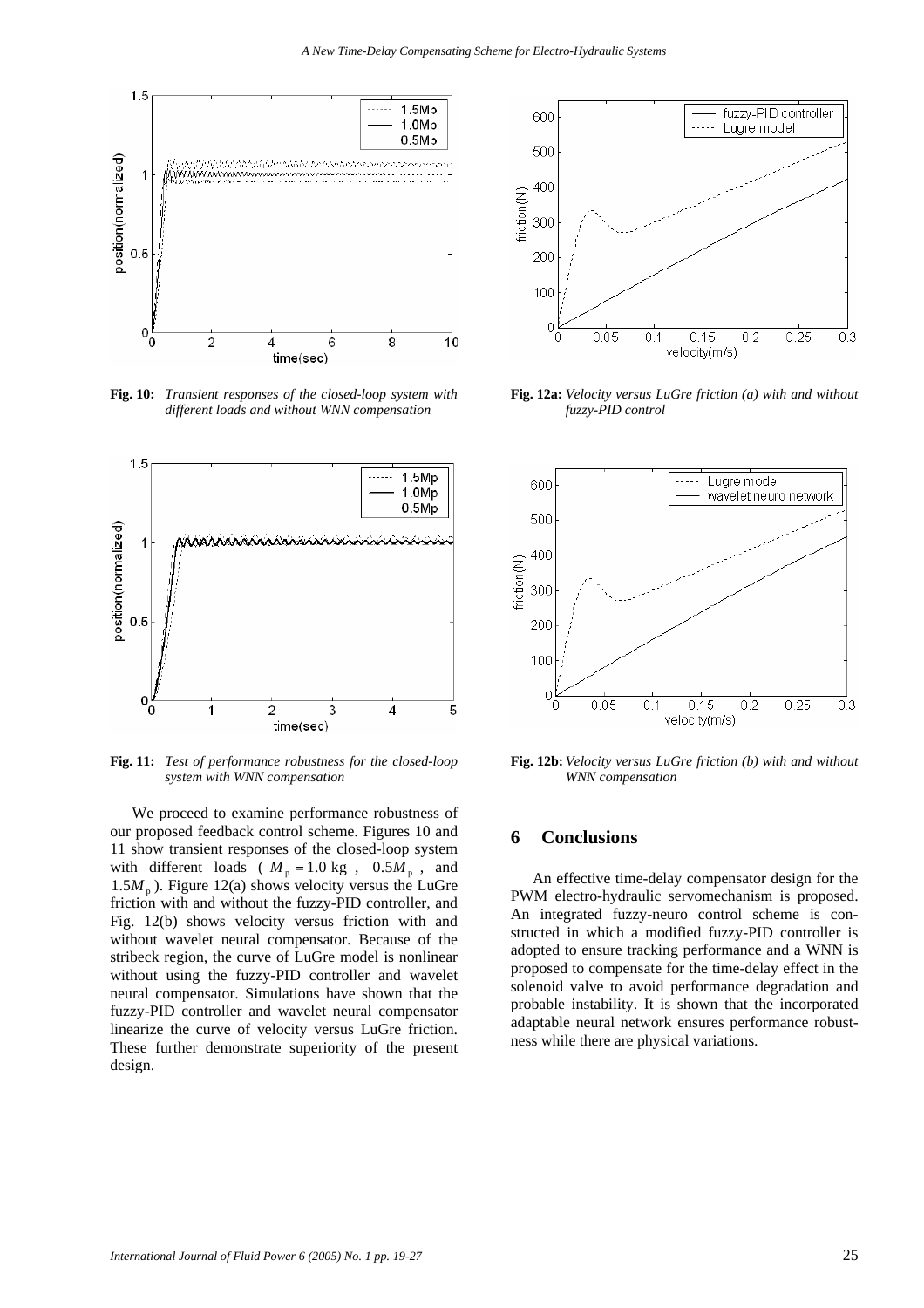

**Fig. 10:** *Transient responses of the closed-loop system with different loads and without WNN compensation* 



**Fig. 11:** *Test of performance robustness for the closed-loop system with WNN compensation* 

We proceed to examine performance robustness of our proposed feedback control scheme. Figures 10 and 11 show transient responses of the closed-loop system with different loads ( $M_p = 1.0$  kg,  $0.5M_p$ , and 1.5 $M<sub>p</sub>$ ). Figure 12(a) shows velocity versus the LuGre friction with and without the fuzzy-PID controller, and Fig. 12(b) shows velocity versus friction with and without wavelet neural compensator. Because of the stribeck region, the curve of LuGre model is nonlinear without using the fuzzy-PID controller and wavelet neural compensator. Simulations have shown that the fuzzy-PID controller and wavelet neural compensator linearize the curve of velocity versus LuGre friction. These further demonstrate superiority of the present design.



**Fig. 12a:** *Velocity versus LuGre friction (a) with and without fuzzy-PID control* 



**Fig. 12b:** *Velocity versus LuGre friction (b) with and without WNN compensation* 

#### **6 Conclusions**

An effective time-delay compensator design for the PWM electro-hydraulic servomechanism is proposed. An integrated fuzzy-neuro control scheme is constructed in which a modified fuzzy-PID controller is adopted to ensure tracking performance and a WNN is proposed to compensate for the time-delay effect in the solenoid valve to avoid performance degradation and probable instability. It is shown that the incorporated adaptable neural network ensures performance robustness while there are physical variations.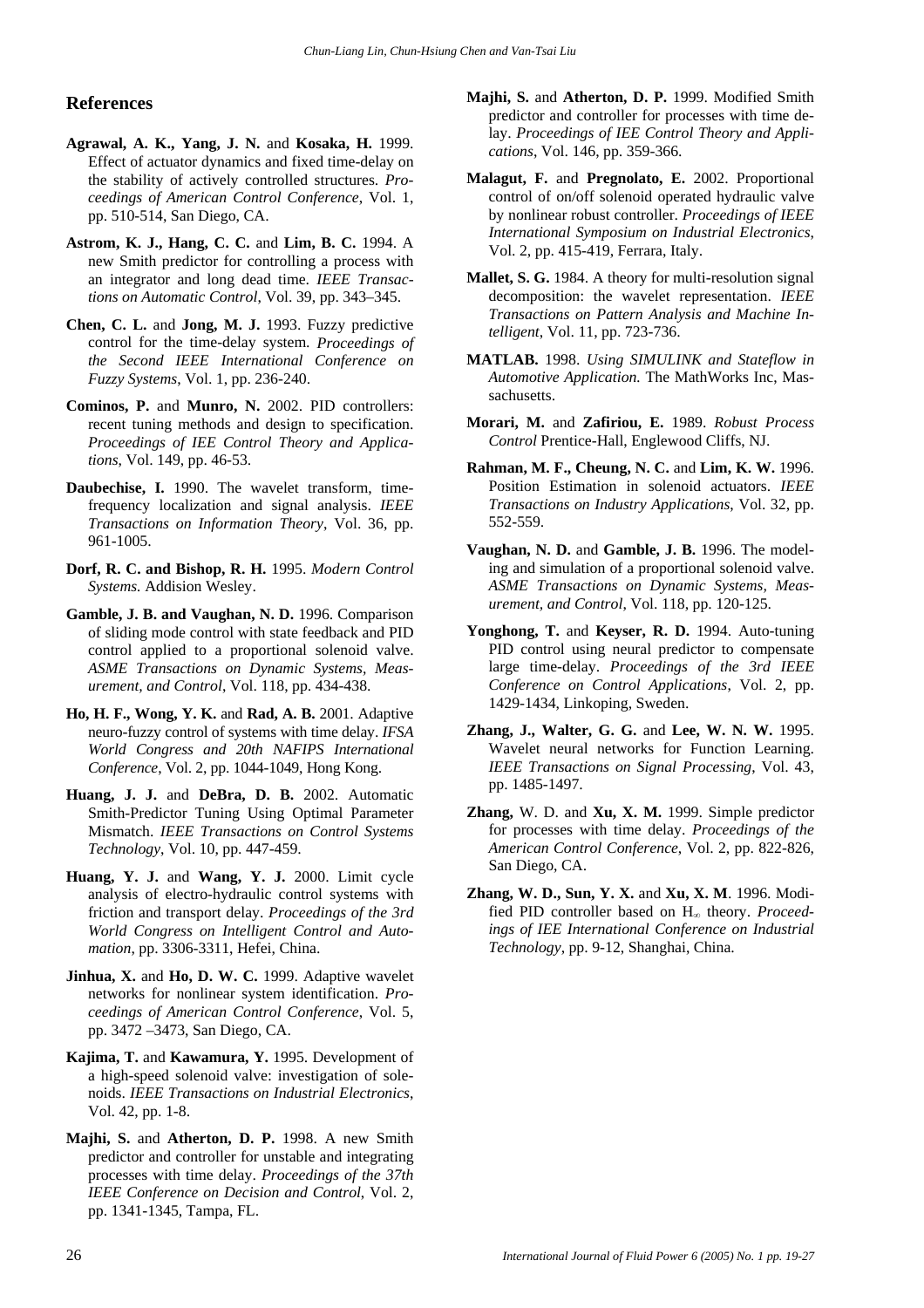# **References**

- **Agrawal, A. K., Yang, J. N.** and **Kosaka, H.** 1999. Effect of actuator dynamics and fixed time-delay on the stability of actively controlled structures. *Proceedings of American Control Conference*, Vol. 1, pp. 510-514, San Diego, CA.
- **Astrom, K. J., Hang, C. C. and Lim, B. C. 1994. A** new Smith predictor for controlling a process with an integrator and long dead time. *IEEE Transactions on Automatic Control*, Vol. 39, pp. 343–345.
- **Chen, C. L.** and **Jong, M. J.** 1993. Fuzzy predictive control for the time-delay system. *Proceedings of the Second IEEE International Conference on Fuzzy Systems*, Vol. 1, pp. 236-240.
- **Cominos, P.** and **Munro, N.** 2002. PID controllers: recent tuning methods and design to specification. *Proceedings of IEE Control Theory and Applications*, Vol. 149, pp. 46-53.
- **Daubechise, I.** 1990. The wavelet transform, timefrequency localization and signal analysis. *IEEE Transactions on Information Theory*, Vol. 36, pp. 961-1005.
- **Dorf, R. C. and Bishop, R. H.** 1995. *Modern Control Systems.* Addision Wesley.
- **Gamble, J. B. and Vaughan, N. D.** 1996. Comparison of sliding mode control with state feedback and PID control applied to a proportional solenoid valve. *ASME Transactions on Dynamic Systems, Measurement, and Control*, Vol. 118, pp. 434-438.
- **Ho, H. F., Wong, Y. K.** and **Rad, A. B.** 2001. Adaptive neuro-fuzzy control of systems with time delay. *IFSA World Congress and 20th NAFIPS International Conference*, Vol. 2, pp. 1044-1049, Hong Kong.
- **Huang, J. J.** and **DeBra, D. B.** 2002. Automatic Smith-Predictor Tuning Using Optimal Parameter Mismatch. *IEEE Transactions on Control Systems Technology*, Vol. 10, pp. 447-459.
- **Huang, Y. J.** and **Wang, Y. J.** 2000. Limit cycle analysis of electro-hydraulic control systems with friction and transport delay. *Proceedings of the 3rd World Congress on Intelligent Control and Automation*, pp. 3306-3311, Hefei, China.
- Jinhua, X. and Ho, D. W. C. 1999. Adaptive wavelet networks for nonlinear system identification. *Proceedings of American Control Conference*, Vol. 5, pp. 3472 –3473, San Diego, CA.
- **Kajima, T.** and **Kawamura, Y.** 1995. Development of a high-speed solenoid valve: investigation of solenoids. *IEEE Transactions on Industrial Electronics*, Vol. 42, pp. 1-8.
- **Majhi, S.** and **Atherton, D. P.** 1998. A new Smith predictor and controller for unstable and integrating processes with time delay. *Proceedings of the 37th IEEE Conference on Decision and Control*, Vol. 2, pp. 1341-1345, Tampa, FL.
- **Majhi, S.** and **Atherton, D. P.** 1999. Modified Smith predictor and controller for processes with time delay. *Proceedings of IEE Control Theory and Applications*, Vol. 146, pp. 359-366.
- **Malagut, F.** and **Pregnolato, E.** 2002. Proportional control of on/off solenoid operated hydraulic valve by nonlinear robust controller. *Proceedings of IEEE International Symposium on Industrial Electronics*, Vol. 2, pp. 415-419, Ferrara, Italy.
- **Mallet, S. G.** 1984. A theory for multi-resolution signal decomposition: the wavelet representation. *IEEE Transactions on Pattern Analysis and Machine Intelligent*, Vol. 11, pp. 723-736.
- **MATLAB.** 1998. *Using SIMULINK and Stateflow in Automotive Application.* The MathWorks Inc, Massachusetts.
- **Morari, M.** and **Zafiriou, E.** 1989. *Robust Process Control* Prentice-Hall, Englewood Cliffs, NJ.
- **Rahman, M. F., Cheung, N. C. and Lim, K. W. 1996.** Position Estimation in solenoid actuators. *IEEE Transactions on Industry Applications*, Vol. 32, pp. 552-559.
- **Vaughan, N. D.** and **Gamble, J. B.** 1996. The modeling and simulation of a proportional solenoid valve. *ASME Transactions on Dynamic Systems, Measurement, and Control*, Vol. 118, pp. 120-125.
- Yonghong, T. and Keyser, R. D. 1994. Auto-tuning PID control using neural predictor to compensate large time-delay. *Proceedings of the 3rd IEEE Conference on Control Applications*, Vol. 2, pp. 1429-1434, Linkoping, Sweden.
- **Zhang, J., Walter, G. G.** and **Lee, W. N. W.** 1995. Wavelet neural networks for Function Learning. *IEEE Transactions on Signal Processing*, Vol. 43, pp. 1485-1497.
- **Zhang,** W. D. and **Xu, X. M.** 1999. Simple predictor for processes with time delay. *Proceedings of the American Control Conference*, Vol. 2, pp. 822-826, San Diego, CA.
- **Zhang, W. D., Sun, Y. X.** and **Xu, X. M**. 1996. Modified PID controller based on H∞ theory. *Proceedings of IEE International Conference on Industrial Technology*, pp. 9-12, Shanghai, China.